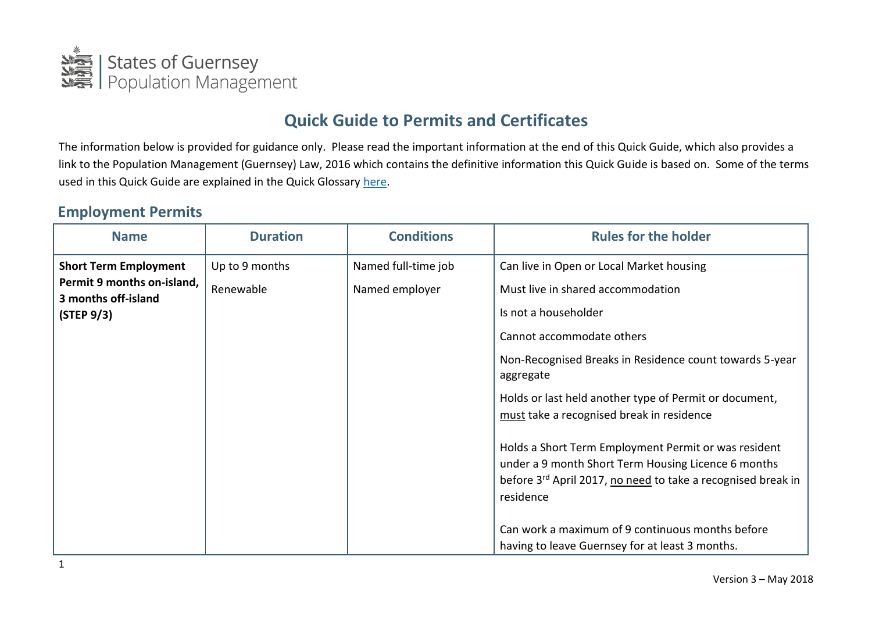

# **Quick Guide to Permits and Certificates**

The information below is provided for guidance only. Please read the important information at the end of this Quick Guide, which also provides a link to the Population Management (Guernsey) Law, 2016 which contains the definitive information this Quick Guide is based on. Some of the terms used in this Quick Guide are explained in the Quick Glossary [here.](https://www.gov.gg/CHttpHandler.ashx?id=104336&p=0)

#### **Employment Permits**

| <b>Name</b>                                                                                     | <b>Duration</b>             | <b>Conditions</b>                     | <b>Rules for the holder</b>                                                                                                                                                                          |
|-------------------------------------------------------------------------------------------------|-----------------------------|---------------------------------------|------------------------------------------------------------------------------------------------------------------------------------------------------------------------------------------------------|
| <b>Short Term Employment</b><br>Permit 9 months on-island,<br>3 months off-island<br>(STEP 9/3) | Up to 9 months<br>Renewable | Named full-time job<br>Named employer | Can live in Open or Local Market housing<br>Must live in shared accommodation<br>Is not a householder<br>Cannot accommodate others                                                                   |
|                                                                                                 |                             |                                       | Non-Recognised Breaks in Residence count towards 5-year<br>aggregate<br>Holds or last held another type of Permit or document,<br>must take a recognised break in residence                          |
|                                                                                                 |                             |                                       | Holds a Short Term Employment Permit or was resident<br>under a 9 month Short Term Housing Licence 6 months<br>before 3 <sup>rd</sup> April 2017, no need to take a recognised break in<br>residence |
|                                                                                                 |                             |                                       | Can work a maximum of 9 continuous months before<br>having to leave Guernsey for at least 3 months.                                                                                                  |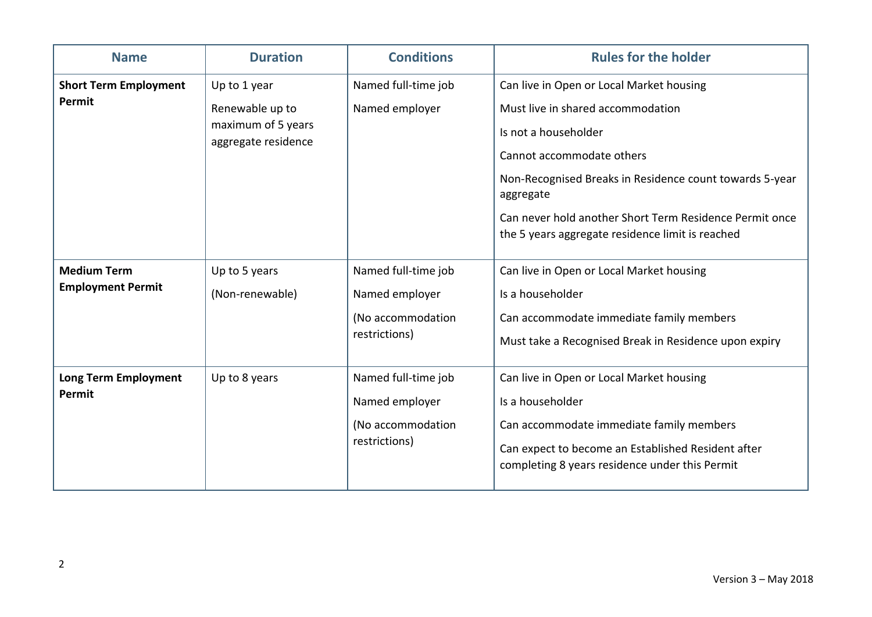| <b>Name</b>                                    | <b>Duration</b>                                                              | <b>Conditions</b>                                                           | <b>Rules for the holder</b>                                                                                                                                                                                                                                                                                               |
|------------------------------------------------|------------------------------------------------------------------------------|-----------------------------------------------------------------------------|---------------------------------------------------------------------------------------------------------------------------------------------------------------------------------------------------------------------------------------------------------------------------------------------------------------------------|
| <b>Short Term Employment</b><br>Permit         | Up to 1 year<br>Renewable up to<br>maximum of 5 years<br>aggregate residence | Named full-time job<br>Named employer                                       | Can live in Open or Local Market housing<br>Must live in shared accommodation<br>Is not a householder<br>Cannot accommodate others<br>Non-Recognised Breaks in Residence count towards 5-year<br>aggregate<br>Can never hold another Short Term Residence Permit once<br>the 5 years aggregate residence limit is reached |
| <b>Medium Term</b><br><b>Employment Permit</b> | Up to 5 years<br>(Non-renewable)                                             | Named full-time job<br>Named employer<br>(No accommodation<br>restrictions) | Can live in Open or Local Market housing<br>Is a householder<br>Can accommodate immediate family members<br>Must take a Recognised Break in Residence upon expiry                                                                                                                                                         |
| <b>Long Term Employment</b><br>Permit          | Up to 8 years                                                                | Named full-time job<br>Named employer<br>(No accommodation<br>restrictions) | Can live in Open or Local Market housing<br>Is a householder<br>Can accommodate immediate family members<br>Can expect to become an Established Resident after<br>completing 8 years residence under this Permit                                                                                                          |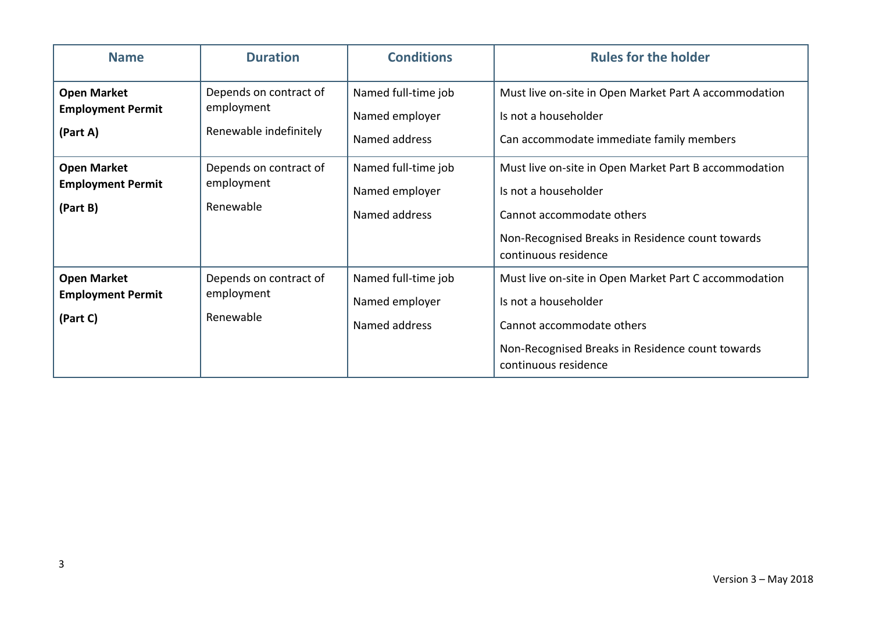| <b>Name</b>                                                | <b>Duration</b>                                                | <b>Conditions</b>                                      | <b>Rules for the holder</b>                                                                                                                                                            |
|------------------------------------------------------------|----------------------------------------------------------------|--------------------------------------------------------|----------------------------------------------------------------------------------------------------------------------------------------------------------------------------------------|
| <b>Open Market</b><br><b>Employment Permit</b><br>(Part A) | Depends on contract of<br>employment<br>Renewable indefinitely | Named full-time job<br>Named employer<br>Named address | Must live on-site in Open Market Part A accommodation<br>Is not a householder<br>Can accommodate immediate family members                                                              |
| <b>Open Market</b><br><b>Employment Permit</b><br>(Part B) | Depends on contract of<br>employment<br>Renewable              | Named full-time job<br>Named employer<br>Named address | Must live on-site in Open Market Part B accommodation<br>Is not a householder<br>Cannot accommodate others<br>Non-Recognised Breaks in Residence count towards<br>continuous residence |
| <b>Open Market</b><br><b>Employment Permit</b><br>(Part C) | Depends on contract of<br>employment<br>Renewable              | Named full-time job<br>Named employer<br>Named address | Must live on-site in Open Market Part C accommodation<br>Is not a householder<br>Cannot accommodate others<br>Non-Recognised Breaks in Residence count towards<br>continuous residence |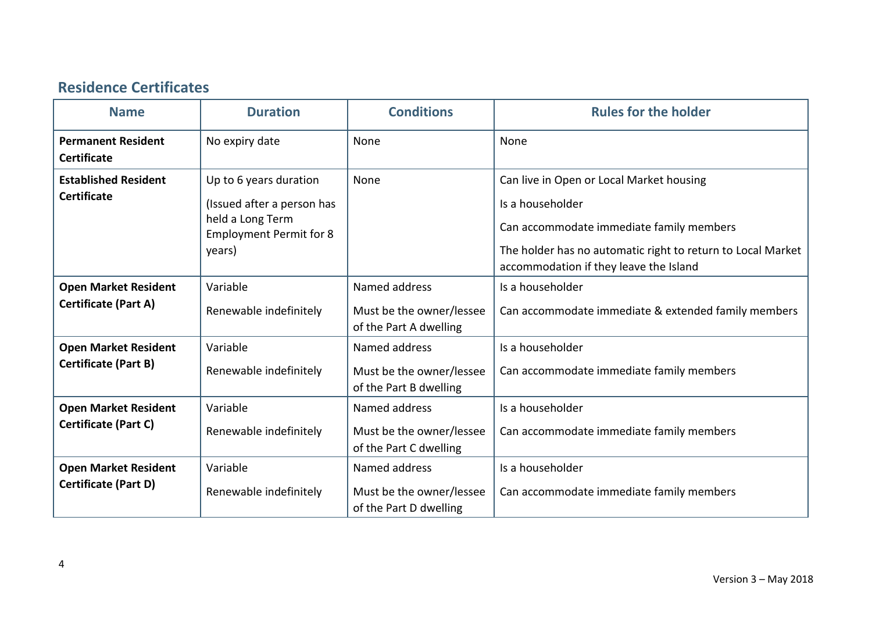## **Residence Certificates**

| <b>Name</b>                                                | <b>Duration</b>                                                                                                      | <b>Conditions</b>                                                   | <b>Rules for the holder</b>                                                                                                                                                                                       |
|------------------------------------------------------------|----------------------------------------------------------------------------------------------------------------------|---------------------------------------------------------------------|-------------------------------------------------------------------------------------------------------------------------------------------------------------------------------------------------------------------|
| <b>Permanent Resident</b><br><b>Certificate</b>            | No expiry date                                                                                                       | None                                                                | None                                                                                                                                                                                                              |
| <b>Established Resident</b><br><b>Certificate</b>          | Up to 6 years duration<br>(Issued after a person has<br>held a Long Term<br><b>Employment Permit for 8</b><br>years) | None                                                                | Can live in Open or Local Market housing<br>Is a householder<br>Can accommodate immediate family members<br>The holder has no automatic right to return to Local Market<br>accommodation if they leave the Island |
| <b>Open Market Resident</b><br><b>Certificate (Part A)</b> | Variable<br>Renewable indefinitely                                                                                   | Named address<br>Must be the owner/lessee<br>of the Part A dwelling | Is a householder<br>Can accommodate immediate & extended family members                                                                                                                                           |
| <b>Open Market Resident</b><br><b>Certificate (Part B)</b> | Variable<br>Renewable indefinitely                                                                                   | Named address<br>Must be the owner/lessee<br>of the Part B dwelling | Is a householder<br>Can accommodate immediate family members                                                                                                                                                      |
| <b>Open Market Resident</b><br>Certificate (Part C)        | Variable<br>Renewable indefinitely                                                                                   | Named address<br>Must be the owner/lessee<br>of the Part C dwelling | Is a householder<br>Can accommodate immediate family members                                                                                                                                                      |
| <b>Open Market Resident</b><br><b>Certificate (Part D)</b> | Variable<br>Renewable indefinitely                                                                                   | Named address<br>Must be the owner/lessee<br>of the Part D dwelling | Is a householder<br>Can accommodate immediate family members                                                                                                                                                      |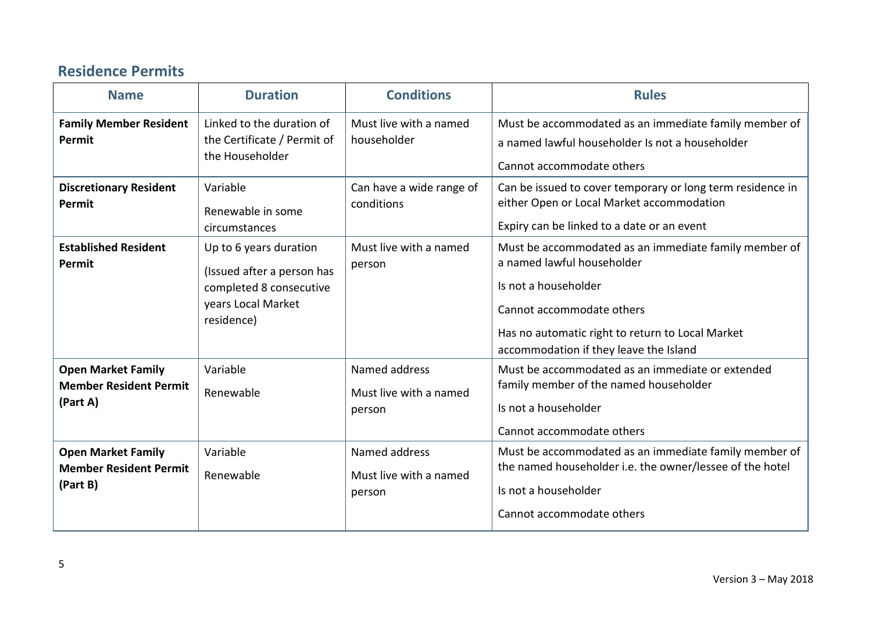### **Residence Permits**

| <b>Name</b>                                                            | <b>Duration</b>                                                                                                     | <b>Conditions</b>                                 | <b>Rules</b>                                                                                                                                                                                                                           |
|------------------------------------------------------------------------|---------------------------------------------------------------------------------------------------------------------|---------------------------------------------------|----------------------------------------------------------------------------------------------------------------------------------------------------------------------------------------------------------------------------------------|
| <b>Family Member Resident</b><br>Permit                                | Linked to the duration of<br>the Certificate / Permit of<br>the Householder                                         | Must live with a named<br>householder             | Must be accommodated as an immediate family member of<br>a named lawful householder Is not a householder<br>Cannot accommodate others                                                                                                  |
| <b>Discretionary Resident</b><br>Permit                                | Variable<br>Renewable in some<br>circumstances                                                                      | Can have a wide range of<br>conditions            | Can be issued to cover temporary or long term residence in<br>either Open or Local Market accommodation<br>Expiry can be linked to a date or an event                                                                                  |
| <b>Established Resident</b><br>Permit                                  | Up to 6 years duration<br>(Issued after a person has<br>completed 8 consecutive<br>years Local Market<br>residence) | Must live with a named<br>person                  | Must be accommodated as an immediate family member of<br>a named lawful householder<br>Is not a householder<br>Cannot accommodate others<br>Has no automatic right to return to Local Market<br>accommodation if they leave the Island |
| <b>Open Market Family</b><br><b>Member Resident Permit</b><br>(Part A) | Variable<br>Renewable                                                                                               | Named address<br>Must live with a named<br>person | Must be accommodated as an immediate or extended<br>family member of the named householder<br>Is not a householder<br>Cannot accommodate others                                                                                        |
| <b>Open Market Family</b><br><b>Member Resident Permit</b><br>(Part B) | Variable<br>Renewable                                                                                               | Named address<br>Must live with a named<br>person | Must be accommodated as an immediate family member of<br>the named householder i.e. the owner/lessee of the hotel<br>Is not a householder<br>Cannot accommodate others                                                                 |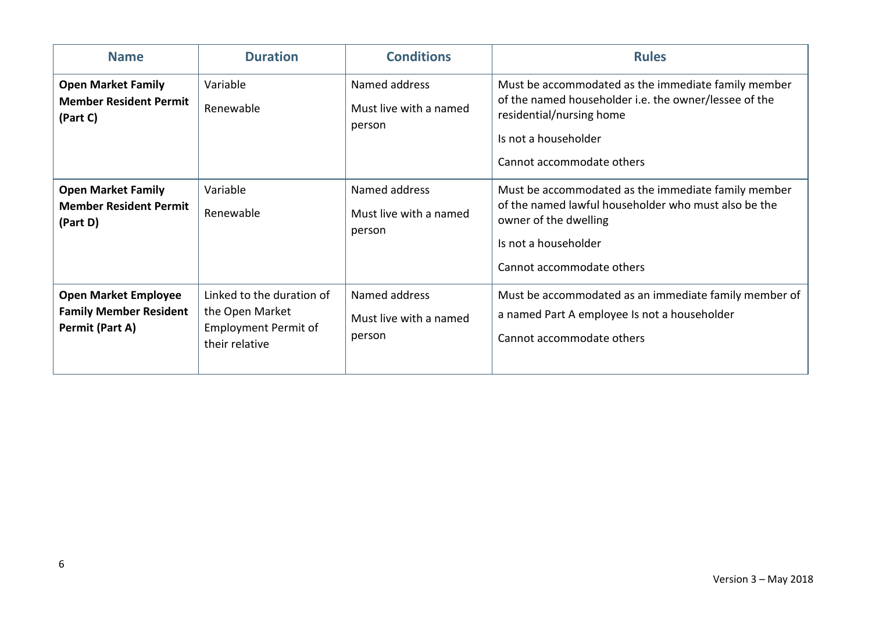| <b>Name</b>                                                                     | <b>Duration</b>                                                                               | <b>Conditions</b>                                 | <b>Rules</b>                                                                                                                                                                                  |
|---------------------------------------------------------------------------------|-----------------------------------------------------------------------------------------------|---------------------------------------------------|-----------------------------------------------------------------------------------------------------------------------------------------------------------------------------------------------|
| <b>Open Market Family</b><br><b>Member Resident Permit</b><br>(Part C)          | Variable<br>Renewable                                                                         | Named address<br>Must live with a named<br>person | Must be accommodated as the immediate family member<br>of the named householder i.e. the owner/lessee of the<br>residential/nursing home<br>Is not a householder<br>Cannot accommodate others |
| <b>Open Market Family</b><br><b>Member Resident Permit</b><br>(Part D)          | Variable<br>Renewable                                                                         | Named address<br>Must live with a named<br>person | Must be accommodated as the immediate family member<br>of the named lawful householder who must also be the<br>owner of the dwelling<br>Is not a householder<br>Cannot accommodate others     |
| <b>Open Market Employee</b><br><b>Family Member Resident</b><br>Permit (Part A) | Linked to the duration of<br>the Open Market<br><b>Employment Permit of</b><br>their relative | Named address<br>Must live with a named<br>person | Must be accommodated as an immediate family member of<br>a named Part A employee Is not a householder<br>Cannot accommodate others                                                            |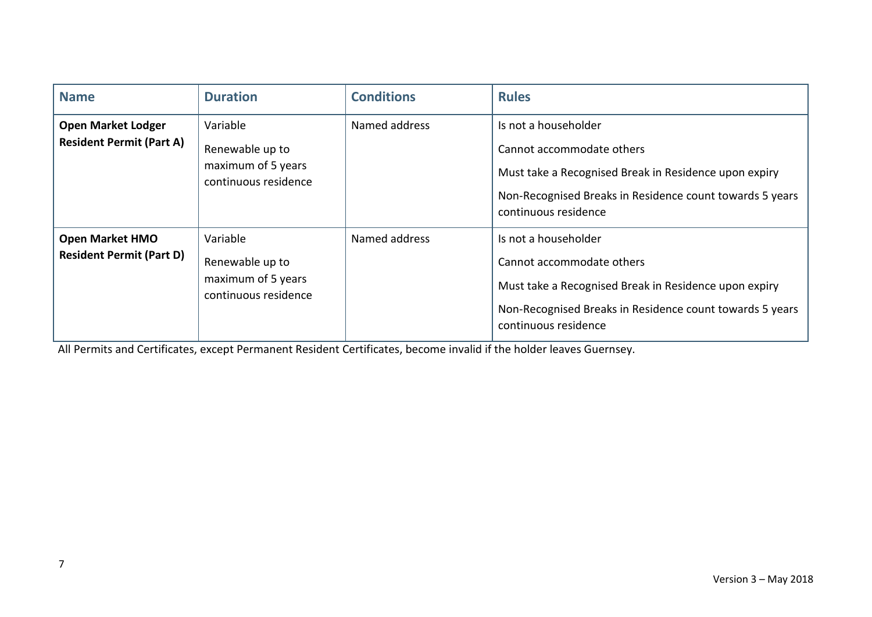| <b>Name</b>                                                  | <b>Duration</b>                                                           | <b>Conditions</b> | <b>Rules</b>                                                                                                                                                                                   |
|--------------------------------------------------------------|---------------------------------------------------------------------------|-------------------|------------------------------------------------------------------------------------------------------------------------------------------------------------------------------------------------|
| <b>Open Market Lodger</b><br><b>Resident Permit (Part A)</b> | Variable<br>Renewable up to<br>maximum of 5 years<br>continuous residence | Named address     | Is not a householder<br>Cannot accommodate others<br>Must take a Recognised Break in Residence upon expiry<br>Non-Recognised Breaks in Residence count towards 5 years<br>continuous residence |
| <b>Open Market HMO</b><br><b>Resident Permit (Part D)</b>    | Variable<br>Renewable up to<br>maximum of 5 years<br>continuous residence | Named address     | Is not a householder<br>Cannot accommodate others<br>Must take a Recognised Break in Residence upon expiry<br>Non-Recognised Breaks in Residence count towards 5 years<br>continuous residence |

All Permits and Certificates, except Permanent Resident Certificates, become invalid if the holder leaves Guernsey.